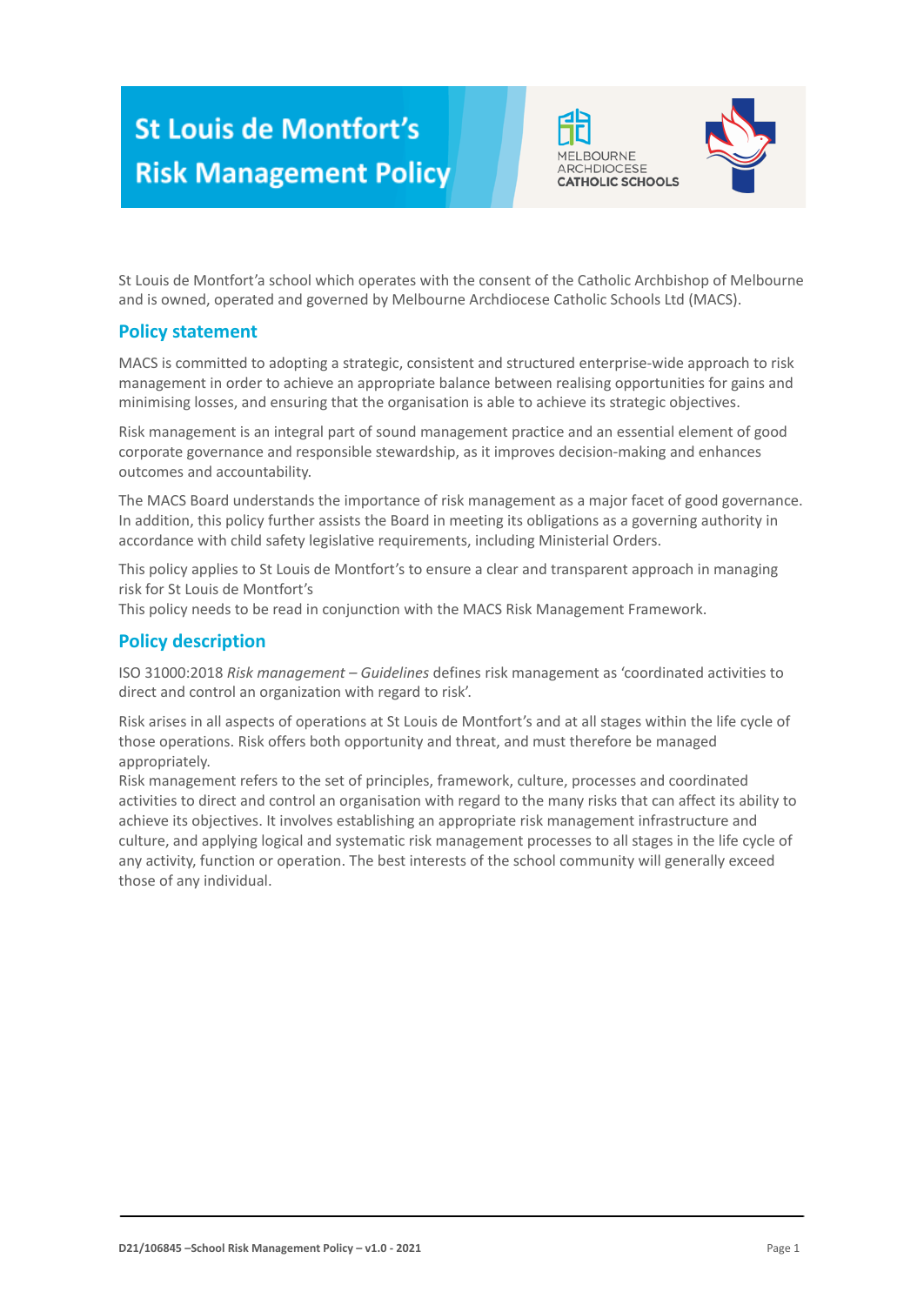# **St Louis de Montfort's Risk Management Policy**





St Louis de Montfort'a school which operates with the consent of the Catholic Archbishop of Melbourne and is owned, operated and governed by Melbourne Archdiocese Catholic Schools Ltd (MACS).

### **Policy statement**

MACS is committed to adopting a strategic, consistent and structured enterprise-wide approach to risk management in order to achieve an appropriate balance between realising opportunities for gains and minimising losses, and ensuring that the organisation is able to achieve its strategic objectives.

Risk management is an integral part of sound management practice and an essential element of good corporate governance and responsible stewardship, as it improves decision-making and enhances outcomes and accountability.

The MACS Board understands the importance of risk management as a major facet of good governance. In addition, this policy further assists the Board in meeting its obligations as a governing authority in accordance with child safety legislative requirements, including Ministerial Orders.

This policy applies to St Louis de Montfort's to ensure a clear and transparent approach in managing risk for St Louis de Montfort's

This policy needs to be read in conjunction with the MACS Risk Management Framework.

#### **Policy description**

ISO 31000:2018 *Risk management – Guidelines* defines risk management as 'coordinated activities to direct and control an organization with regard to risk'.

Risk arises in all aspects of operations at St Louis de Montfort's and at all stages within the life cycle of those operations. Risk offers both opportunity and threat, and must therefore be managed appropriately.

Risk management refers to the set of principles, framework, culture, processes and coordinated activities to direct and control an organisation with regard to the many risks that can affect its ability to achieve its objectives. It involves establishing an appropriate risk management infrastructure and culture, and applying logical and systematic risk management processes to all stages in the life cycle of any activity, function or operation. The best interests of the school community will generally exceed those of any individual.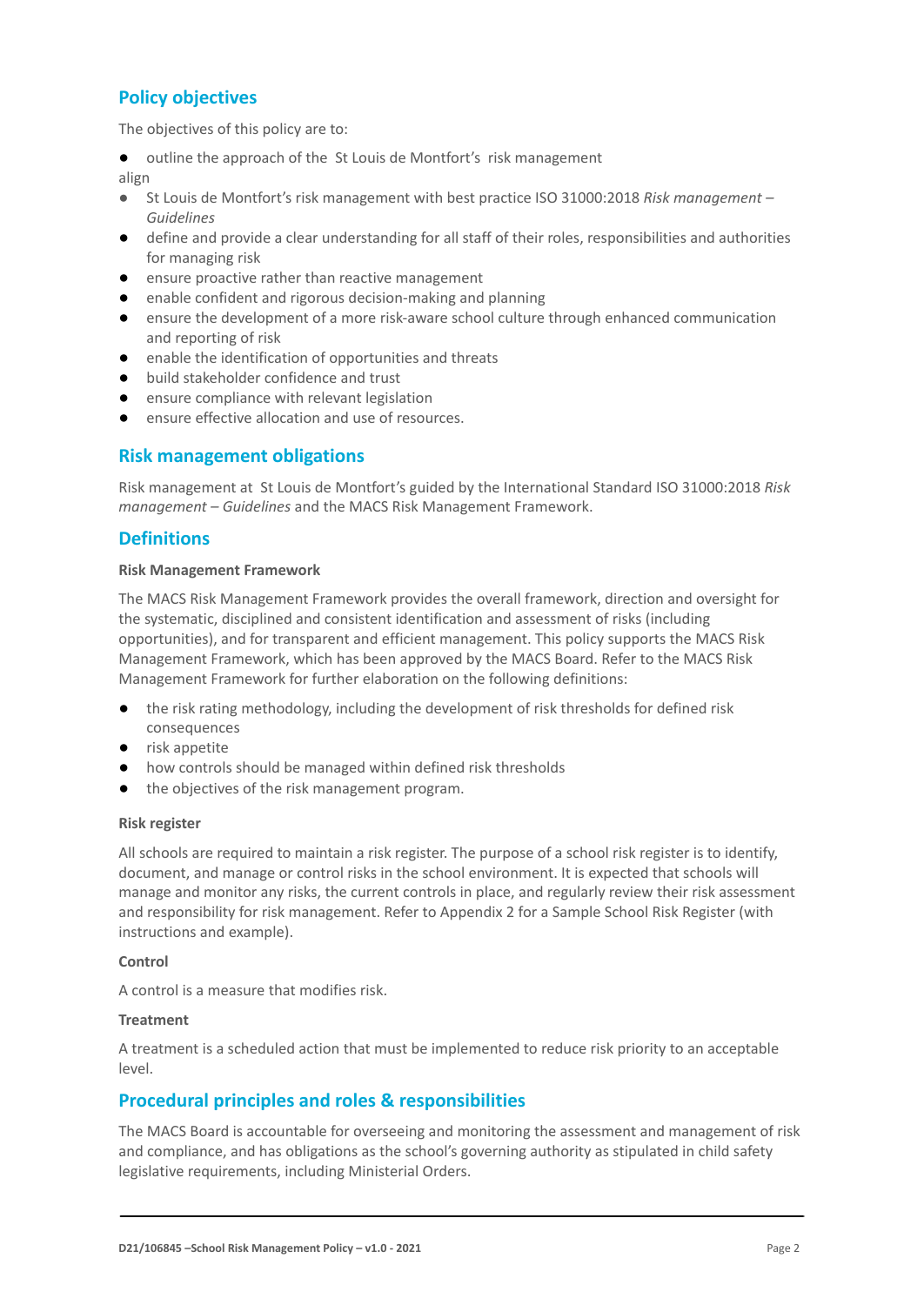## **Policy objectives**

The objectives of this policy are to:

outline the approach of the St Louis de Montfort's risk management

align

- *●* St Louis de Montfort's risk management with best practice ISO 31000:2018 *Risk management – Guidelines*
- define and provide a clear understanding for all staff of their roles, responsibilities and authorities for managing risk
- ensure proactive rather than reactive management
- enable confident and rigorous decision-making and planning
- ensure the development of a more risk-aware school culture through enhanced communication and reporting of risk
- enable the identification of opportunities and threats
- build stakeholder confidence and trust
- ensure compliance with relevant legislation
- ensure effective allocation and use of resources.

#### **Risk management obligations**

Risk management at St Louis de Montfort's guided by the International Standard ISO 31000:2018 *Risk management – Guidelines* and the MACS Risk Management Framework.

#### **Definitions**

#### **Risk Management Framework**

The MACS Risk Management Framework provides the overall framework, direction and oversight for the systematic, disciplined and consistent identification and assessment of risks (including opportunities), and for transparent and efficient management. This policy supports the MACS Risk Management Framework, which has been approved by the MACS Board. Refer to the MACS Risk Management Framework for further elaboration on the following definitions:

- the risk rating methodology, including the development of risk thresholds for defined risk consequences
- risk appetite
- how controls should be managed within defined risk thresholds
- the objectives of the risk management program.

#### **Risk register**

All schools are required to maintain a risk register. The purpose of a school risk register is to identify, document, and manage or control risks in the school environment. It is expected that schools will manage and monitor any risks, the current controls in place, and regularly review their risk assessment and responsibility for risk management. Refer to Appendix 2 for a Sample School Risk Register (with instructions and example).

#### **Control**

A control is a measure that modifies risk.

#### **Treatment**

A treatment is a scheduled action that must be implemented to reduce risk priority to an acceptable level.

#### **Procedural principles and roles & responsibilities**

The MACS Board is accountable for overseeing and monitoring the assessment and management of risk and compliance, and has obligations as the school's governing authority as stipulated in child safety legislative requirements, including Ministerial Orders.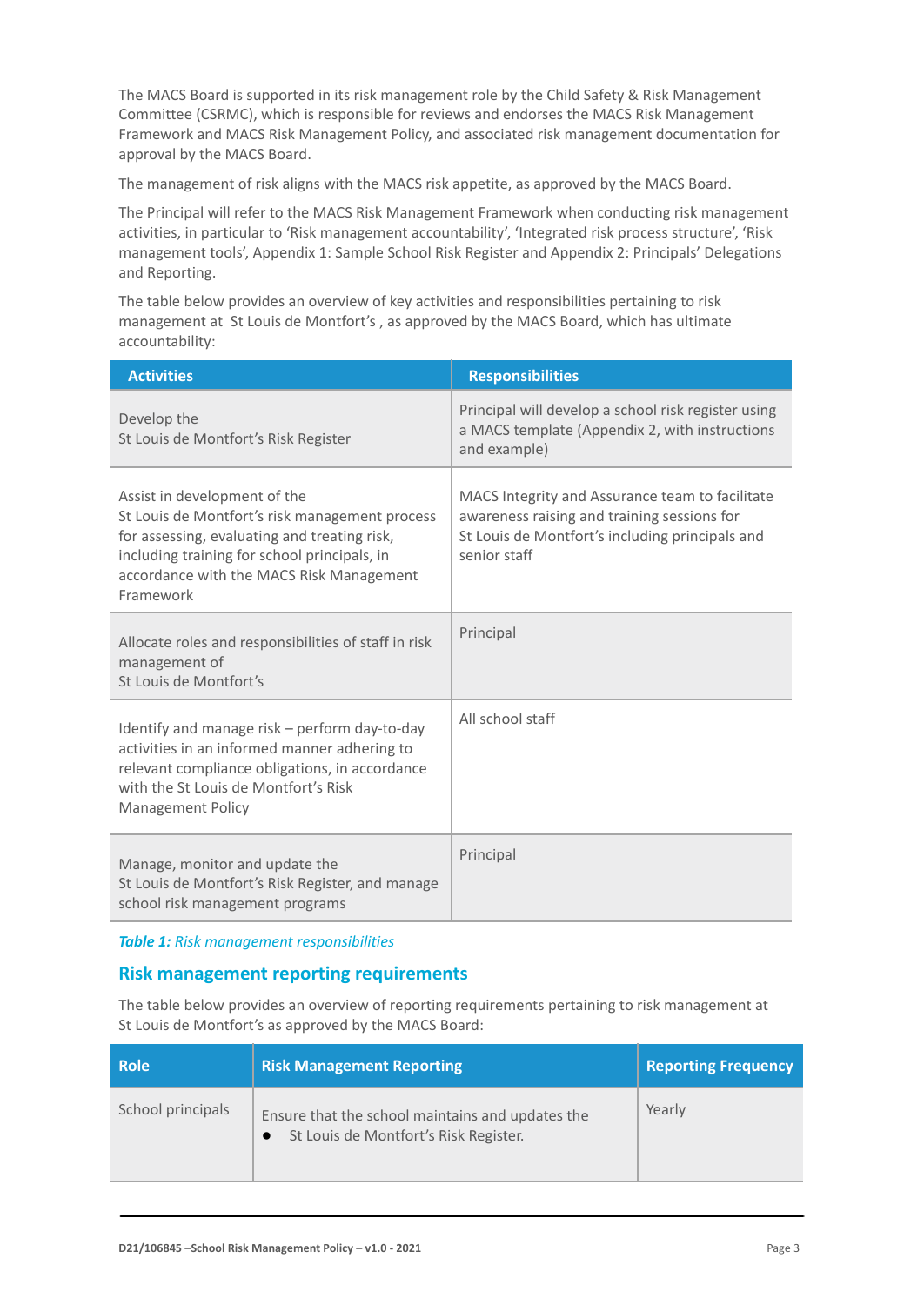The MACS Board is supported in its risk management role by the Child Safety & Risk Management Committee (CSRMC), which is responsible for reviews and endorses the MACS Risk Management Framework and MACS Risk Management Policy, and associated risk management documentation for approval by the MACS Board.

The management of risk aligns with the MACS risk appetite, as approved by the MACS Board.

The Principal will refer to the MACS Risk Management Framework when conducting risk management activities, in particular to 'Risk management accountability', 'Integrated risk process structure', 'Risk management tools', Appendix 1: Sample School Risk Register and Appendix 2: Principals' Delegations and Reporting.

The table below provides an overview of key activities and responsibilities pertaining to risk management at St Louis de Montfort's , as approved by the MACS Board, which has ultimate accountability:

| <b>Activities</b>                                                                                                                                                                                                                       | <b>Responsibilities</b>                                                                                                                                           |
|-----------------------------------------------------------------------------------------------------------------------------------------------------------------------------------------------------------------------------------------|-------------------------------------------------------------------------------------------------------------------------------------------------------------------|
| Develop the<br>St Louis de Montfort's Risk Register                                                                                                                                                                                     | Principal will develop a school risk register using<br>a MACS template (Appendix 2, with instructions<br>and example)                                             |
| Assist in development of the<br>St Louis de Montfort's risk management process<br>for assessing, evaluating and treating risk,<br>including training for school principals, in<br>accordance with the MACS Risk Management<br>Framework | MACS Integrity and Assurance team to facilitate<br>awareness raising and training sessions for<br>St Louis de Montfort's including principals and<br>senior staff |
| Allocate roles and responsibilities of staff in risk<br>management of<br>St Louis de Montfort's                                                                                                                                         | Principal                                                                                                                                                         |
| Identify and manage risk - perform day-to-day<br>activities in an informed manner adhering to<br>relevant compliance obligations, in accordance<br>with the St Louis de Montfort's Risk<br><b>Management Policy</b>                     | All school staff                                                                                                                                                  |
| Manage, monitor and update the<br>St Louis de Montfort's Risk Register, and manage<br>school risk management programs                                                                                                                   | Principal                                                                                                                                                         |

*Table 1: Risk management responsibilities*

#### **Risk management reporting requirements**

The table below provides an overview of reporting requirements pertaining to risk management at St Louis de Montfort's as approved by the MACS Board:

| <b>Role</b>       | <b>Risk Management Reporting</b>                                                          | <b>Reporting Frequency</b> |
|-------------------|-------------------------------------------------------------------------------------------|----------------------------|
| School principals | Ensure that the school maintains and updates the<br>St Louis de Montfort's Risk Register. | Yearly                     |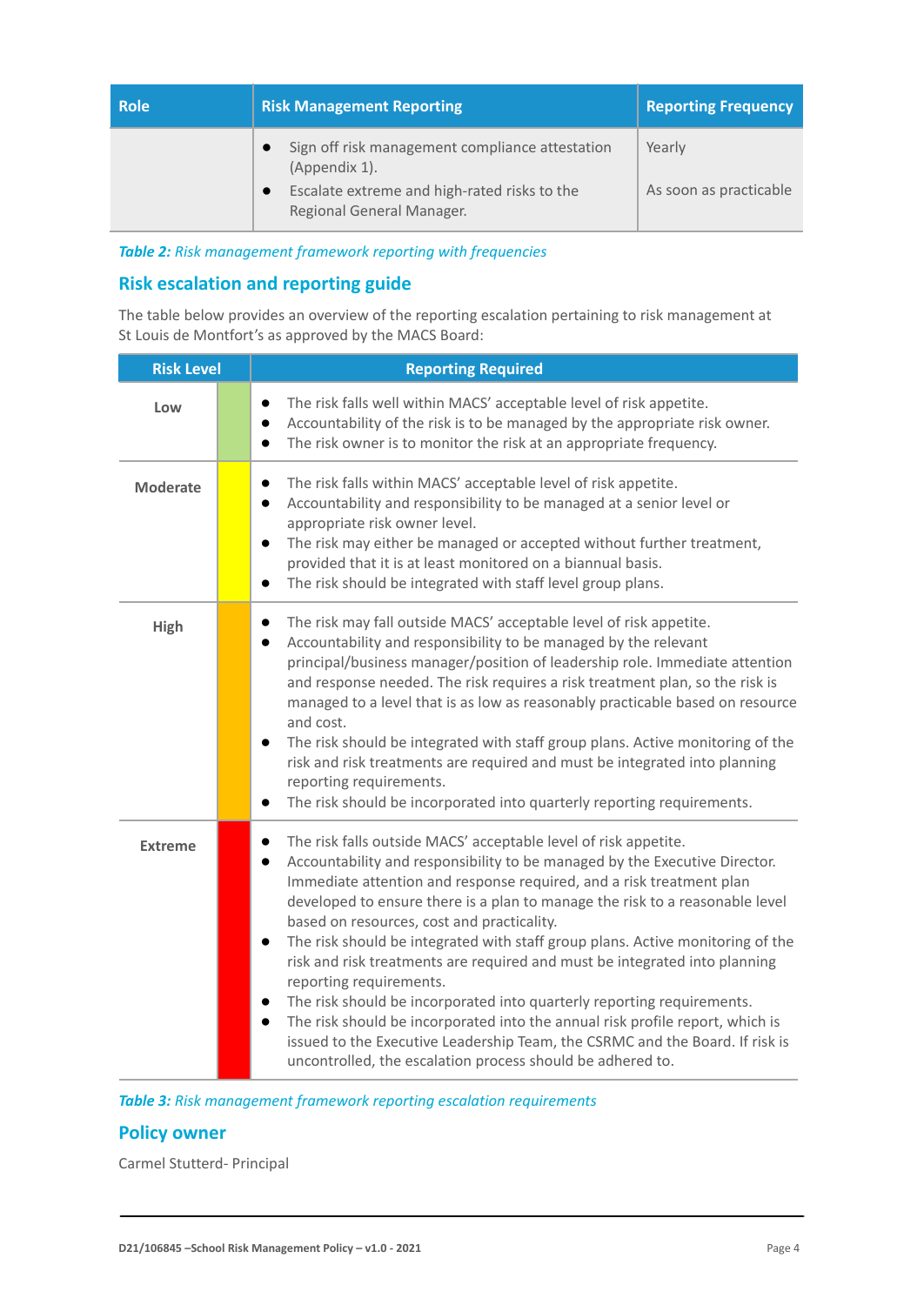| <b>Role</b> | <b>Risk Management Reporting</b>                                                                                                              | <b>Reporting Frequency</b>       |  |  |
|-------------|-----------------------------------------------------------------------------------------------------------------------------------------------|----------------------------------|--|--|
|             | Sign off risk management compliance attestation<br>(Appendix 1).<br>Escalate extreme and high-rated risks to the<br>Regional General Manager. | Yearly<br>As soon as practicable |  |  |

*Table 2: Risk management framework reporting with frequencies*

## **Risk escalation and reporting guide**

The table below provides an overview of the reporting escalation pertaining to risk management at St Louis de Montfort's as approved by the MACS Board:

| <b>Risk Level</b> |  | <b>Reporting Required</b>                                                                                                                                                                                                                                                                                                                                                                                                                                                                                                                                                                                                                                                                                                                                                                                                                                                                                                |
|-------------------|--|--------------------------------------------------------------------------------------------------------------------------------------------------------------------------------------------------------------------------------------------------------------------------------------------------------------------------------------------------------------------------------------------------------------------------------------------------------------------------------------------------------------------------------------------------------------------------------------------------------------------------------------------------------------------------------------------------------------------------------------------------------------------------------------------------------------------------------------------------------------------------------------------------------------------------|
| Low               |  | The risk falls well within MACS' acceptable level of risk appetite.<br>$\bullet$<br>Accountability of the risk is to be managed by the appropriate risk owner.<br>$\bullet$<br>The risk owner is to monitor the risk at an appropriate frequency.<br>$\bullet$                                                                                                                                                                                                                                                                                                                                                                                                                                                                                                                                                                                                                                                           |
| <b>Moderate</b>   |  | The risk falls within MACS' acceptable level of risk appetite.<br>$\bullet$<br>Accountability and responsibility to be managed at a senior level or<br>$\bullet$<br>appropriate risk owner level.<br>The risk may either be managed or accepted without further treatment,<br>$\bullet$<br>provided that it is at least monitored on a biannual basis.<br>The risk should be integrated with staff level group plans.<br>$\bullet$                                                                                                                                                                                                                                                                                                                                                                                                                                                                                       |
| High              |  | The risk may fall outside MACS' acceptable level of risk appetite.<br>$\bullet$<br>Accountability and responsibility to be managed by the relevant<br>$\bullet$<br>principal/business manager/position of leadership role. Immediate attention<br>and response needed. The risk requires a risk treatment plan, so the risk is<br>managed to a level that is as low as reasonably practicable based on resource<br>and cost.<br>The risk should be integrated with staff group plans. Active monitoring of the<br>risk and risk treatments are required and must be integrated into planning<br>reporting requirements.<br>The risk should be incorporated into quarterly reporting requirements.<br>$\bullet$                                                                                                                                                                                                           |
| <b>Extreme</b>    |  | The risk falls outside MACS' acceptable level of risk appetite.<br>$\bullet$<br>Accountability and responsibility to be managed by the Executive Director.<br>$\bullet$<br>Immediate attention and response required, and a risk treatment plan<br>developed to ensure there is a plan to manage the risk to a reasonable level<br>based on resources, cost and practicality.<br>The risk should be integrated with staff group plans. Active monitoring of the<br>$\bullet$<br>risk and risk treatments are required and must be integrated into planning<br>reporting requirements.<br>The risk should be incorporated into quarterly reporting requirements.<br>$\bullet$<br>The risk should be incorporated into the annual risk profile report, which is<br>$\bullet$<br>issued to the Executive Leadership Team, the CSRMC and the Board. If risk is<br>uncontrolled, the escalation process should be adhered to. |

*Table 3: Risk management framework reporting escalation requirements*

#### **Policy owner**

Carmel Stutterd- Principal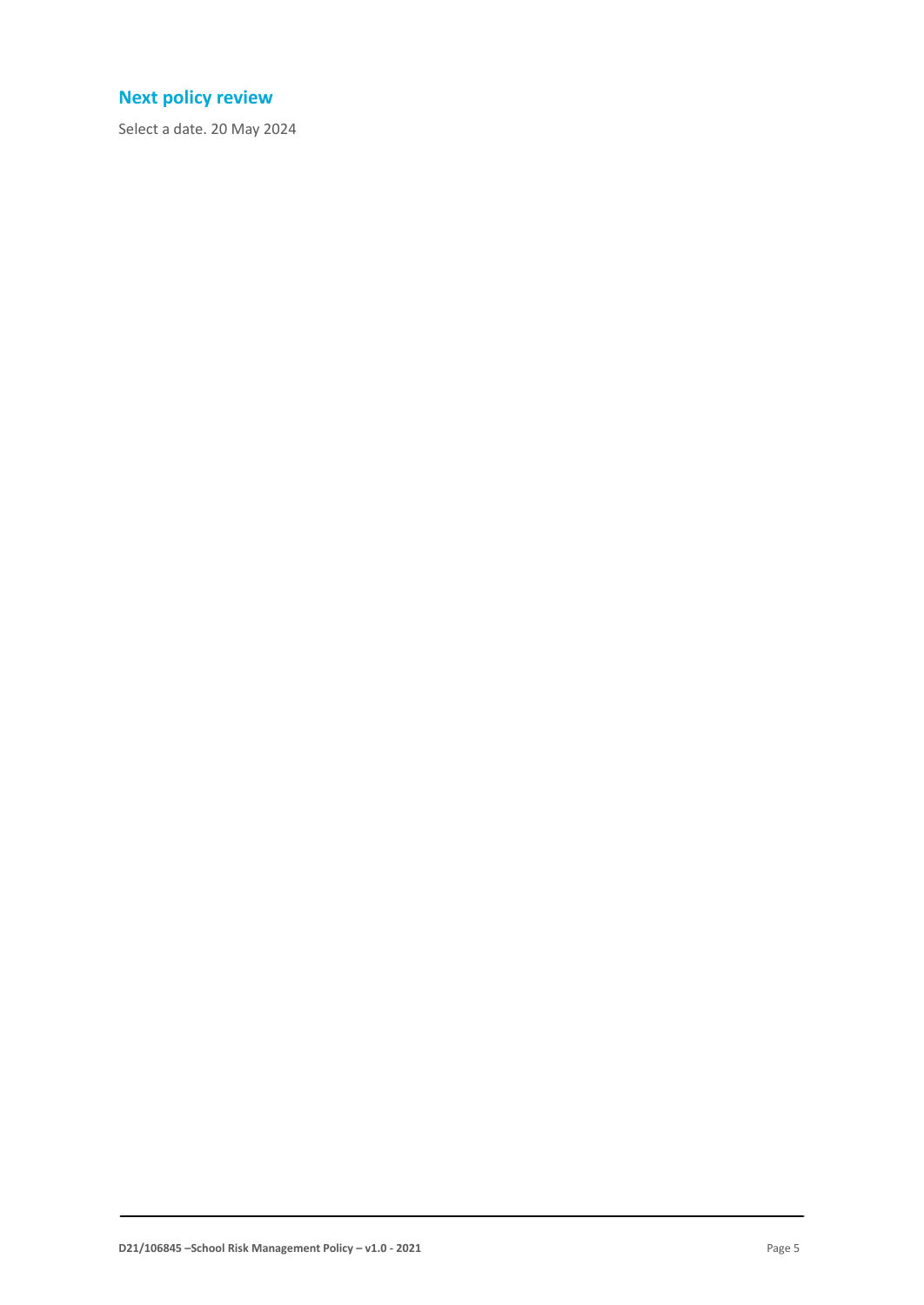## **Next policy review**

Select a date. 20 May 2024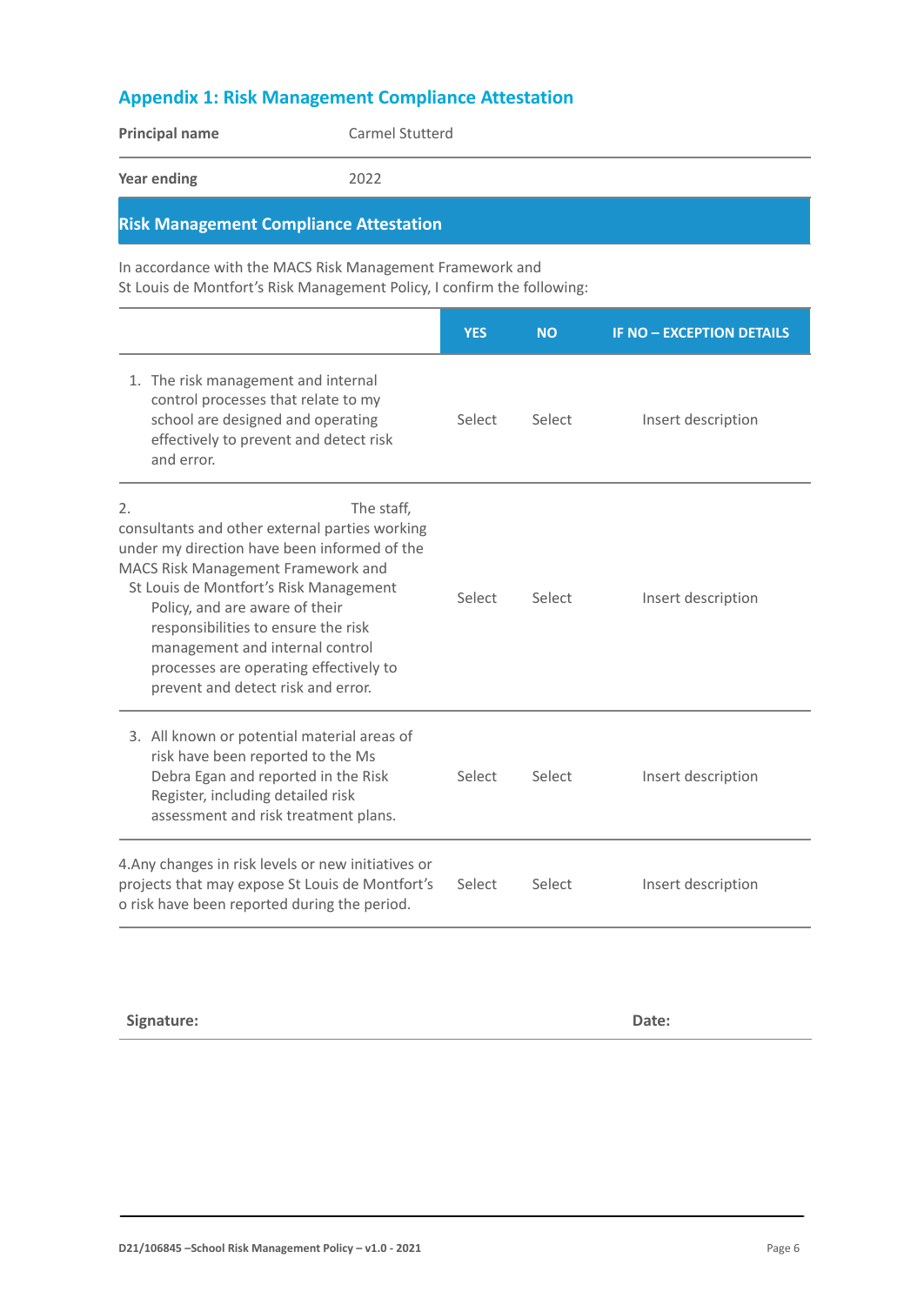## **Appendix 1: Risk Management Compliance Attestation**

|                                                                                                                                                        | <b>Principal name</b>                                                                                                                                                                                                                                                    | Carmel Stutterd                                                                                                                      |            |                    |                                  |
|--------------------------------------------------------------------------------------------------------------------------------------------------------|--------------------------------------------------------------------------------------------------------------------------------------------------------------------------------------------------------------------------------------------------------------------------|--------------------------------------------------------------------------------------------------------------------------------------|------------|--------------------|----------------------------------|
| <b>Year ending</b>                                                                                                                                     |                                                                                                                                                                                                                                                                          | 2022                                                                                                                                 |            |                    |                                  |
|                                                                                                                                                        |                                                                                                                                                                                                                                                                          | <b>Risk Management Compliance Attestation</b>                                                                                        |            |                    |                                  |
|                                                                                                                                                        |                                                                                                                                                                                                                                                                          | In accordance with the MACS Risk Management Framework and<br>St Louis de Montfort's Risk Management Policy, I confirm the following: |            |                    |                                  |
|                                                                                                                                                        |                                                                                                                                                                                                                                                                          |                                                                                                                                      | <b>YES</b> | <b>NO</b>          | <b>IF NO - EXCEPTION DETAILS</b> |
|                                                                                                                                                        | 1. The risk management and internal<br>control processes that relate to my<br>school are designed and operating<br>effectively to prevent and detect risk<br>and error.                                                                                                  |                                                                                                                                      | Select     | Select             | Insert description               |
| 2.                                                                                                                                                     | MACS Risk Management Framework and<br>St Louis de Montfort's Risk Management<br>Policy, and are aware of their<br>responsibilities to ensure the risk<br>management and internal control<br>processes are operating effectively to<br>prevent and detect risk and error. | The staff,<br>consultants and other external parties working<br>under my direction have been informed of the                         | Select     | Select             | Insert description               |
|                                                                                                                                                        | 3. All known or potential material areas of<br>risk have been reported to the Ms<br>Debra Egan and reported in the Risk<br>Register, including detailed risk<br>assessment and risk treatment plans.                                                                     |                                                                                                                                      | Select     | Select             | Insert description               |
| 4. Any changes in risk levels or new initiatives or<br>projects that may expose St Louis de Montfort's<br>o risk have been reported during the period. |                                                                                                                                                                                                                                                                          | Select                                                                                                                               | Select     | Insert description |                                  |

**Signature: Date:**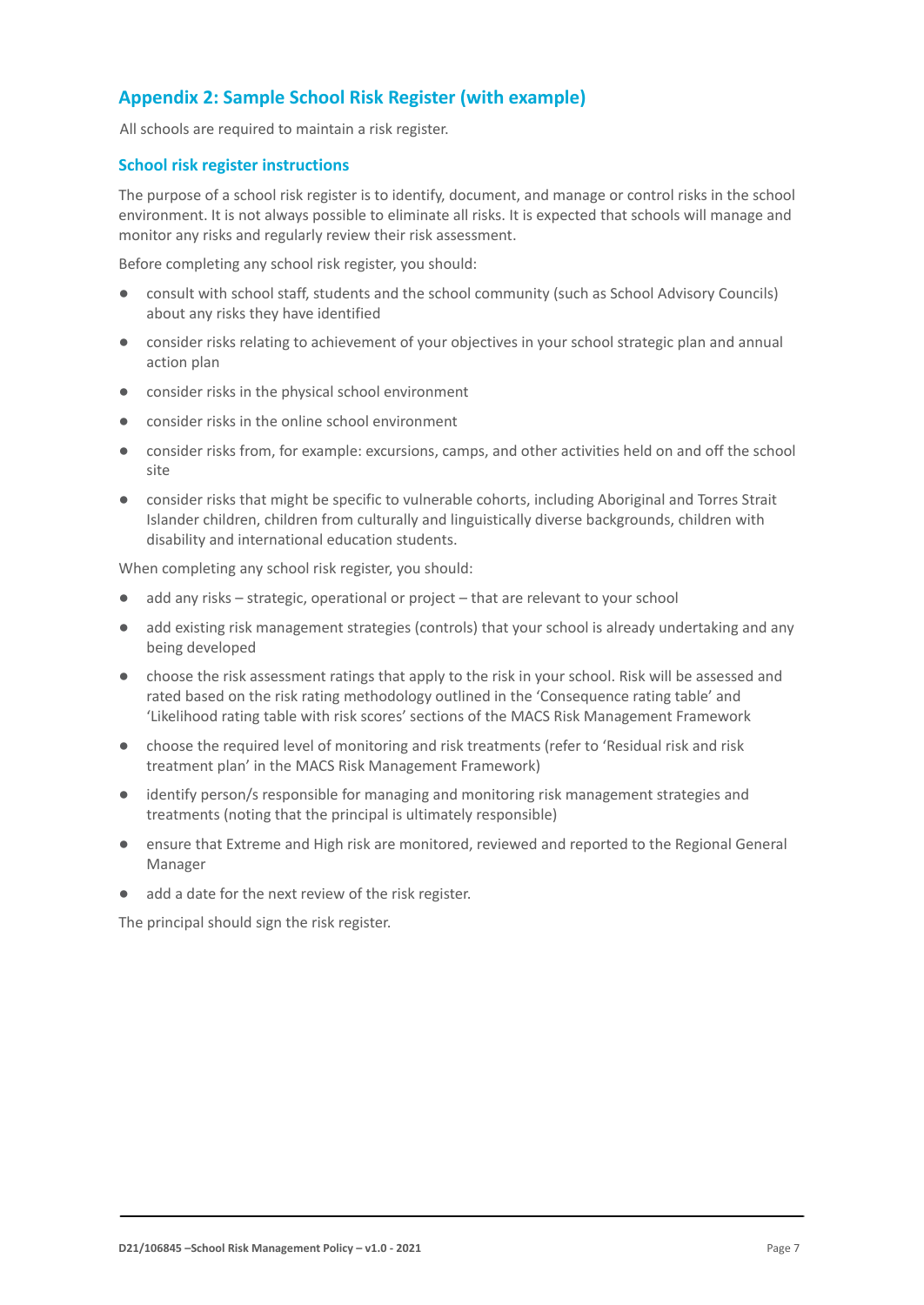## **Appendix 2: Sample School Risk Register (with example)**

All schools are required to maintain a risk register.

#### **School risk register instructions**

The purpose of a school risk register is to identify, document, and manage or control risks in the school environment. It is not always possible to eliminate all risks. It is expected that schools will manage and monitor any risks and regularly review their risk assessment.

Before completing any school risk register, you should:

- consult with school staff, students and the school community (such as School Advisory Councils) about any risks they have identified
- consider risks relating to achievement of your objectives in your school strategic plan and annual action plan
- consider risks in the physical school environment
- consider risks in the online school environment
- consider risks from, for example: excursions, camps, and other activities held on and off the school site
- consider risks that might be specific to vulnerable cohorts, including Aboriginal and Torres Strait Islander children, children from culturally and linguistically diverse backgrounds, children with disability and international education students.

When completing any school risk register, you should:

- add any risks strategic, operational or project that are relevant to your school
- add existing risk management strategies (controls) that your school is already undertaking and any being developed
- choose the risk assessment ratings that apply to the risk in your school. Risk will be assessed and rated based on the risk rating methodology outlined in the 'Consequence rating table' and 'Likelihood rating table with risk scores' sections of the MACS Risk Management Framework
- choose the required level of monitoring and risk treatments (refer to 'Residual risk and risk treatment plan' in the MACS Risk Management Framework)
- identify person/s responsible for managing and monitoring risk management strategies and treatments (noting that the principal is ultimately responsible)
- ensure that Extreme and High risk are monitored, reviewed and reported to the Regional General Manager
- add a date for the next review of the risk register.

The principal should sign the risk register.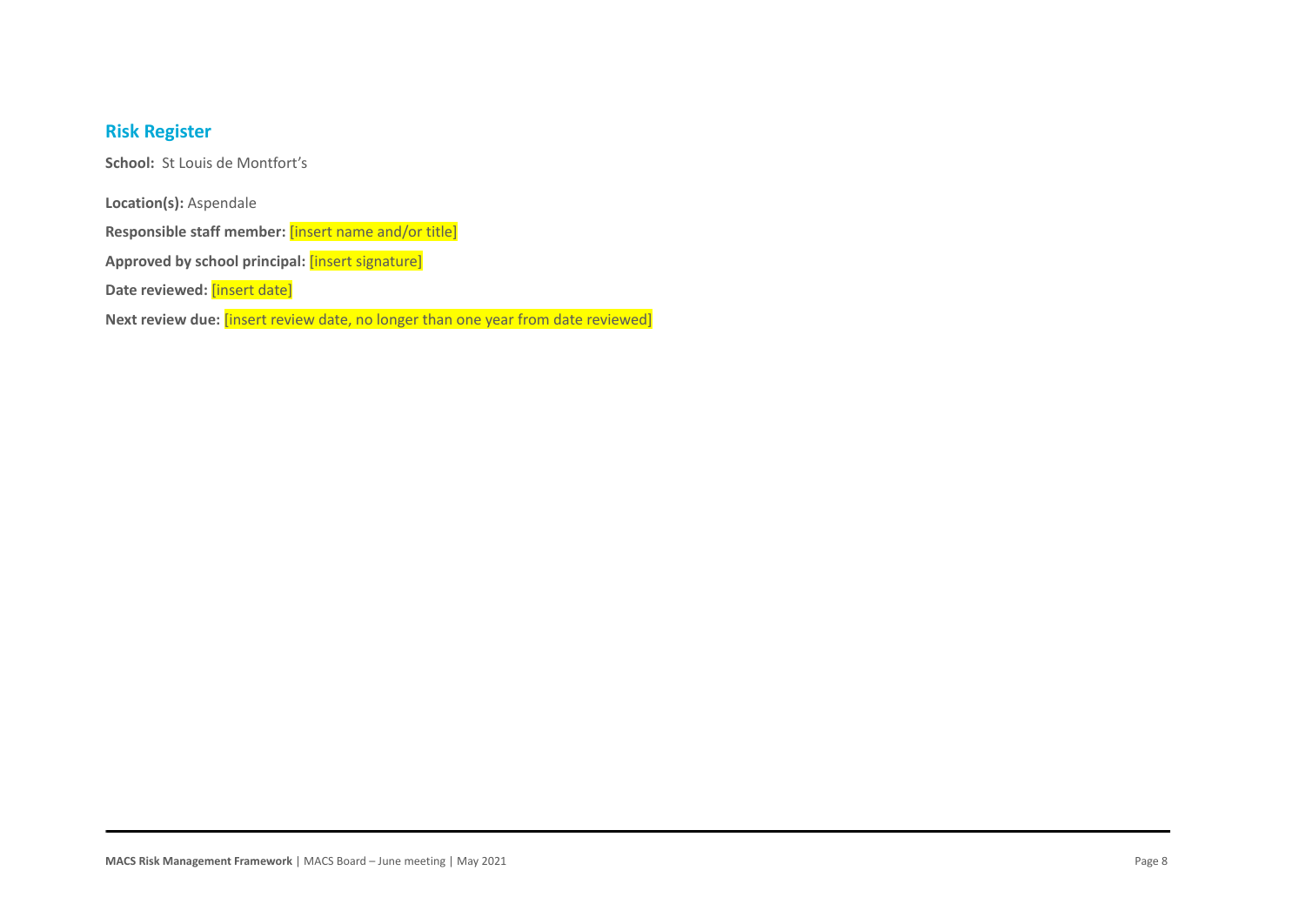## **Risk Register**

**School:** St Louis de Montfort's

**Location(s):** Aspendale

**Responsible staff member:** [insert name and/or title]

**Approved by school principal:** [insert signature]

**Date reviewed:** [insert date]

**Next review due:** [insert review date, no longer than one year from date reviewed]